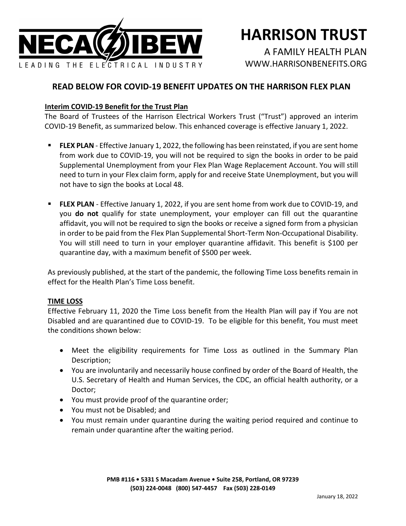

# **HARRISON TRUST**

A FAMILY HEALTH PLAN [WWW.HARRISONBENEFITS.ORG](http://www.harrisonbenefits.org/)

## **READ BELOW FOR COVID-19 BENEFIT UPDATES ON THE HARRISON FLEX PLAN**

### **Interim COVID-19 Benefit for the Trust Plan**

The Board of Trustees of the Harrison Electrical Workers Trust ("Trust") approved an interim COVID-19 Benefit, as summarized below. This enhanced coverage is effective January 1, 2022.

- **FLEX PLAN** Effective January 1, 2022, the following has been reinstated, if you are sent home from work due to COVID-19, you will not be required to sign the books in order to be paid Supplemental Unemployment from your Flex Plan Wage Replacement Account. You will still need to turn in your Flex claim form, apply for and receive State Unemployment, but you will not have to sign the books at Local 48.
- **FLEX PLAN** Effective January 1, 2022, if you are sent home from work due to COVID-19, and you **do not** qualify for state unemployment, your employer can fill out the quarantine affidavit, you will not be required to sign the books or receive a signed form from a physician in order to be paid from the Flex Plan Supplemental Short-Term Non-Occupational Disability. You will still need to turn in your employer quarantine affidavit. This benefit is \$100 per quarantine day, with a maximum benefit of \$500 per week.

As previously published, at the start of the pandemic, the following Time Loss benefits remain in effect for the Health Plan's Time Loss benefit.

#### **TIME LOSS**

Effective February 11, 2020 the Time Loss benefit from the Health Plan will pay if You are not Disabled and are quarantined due to COVID-19. To be eligible for this benefit, You must meet the conditions shown below:

- Meet the eligibility requirements for Time Loss as outlined in the Summary Plan Description;
- You are involuntarily and necessarily house confined by order of the Board of Health, the U.S. Secretary of Health and Human Services, the CDC, an official health authority, or a Doctor;
- You must provide proof of the quarantine order;
- You must not be Disabled; and
- You must remain under quarantine during the waiting period required and continue to remain under quarantine after the waiting period.